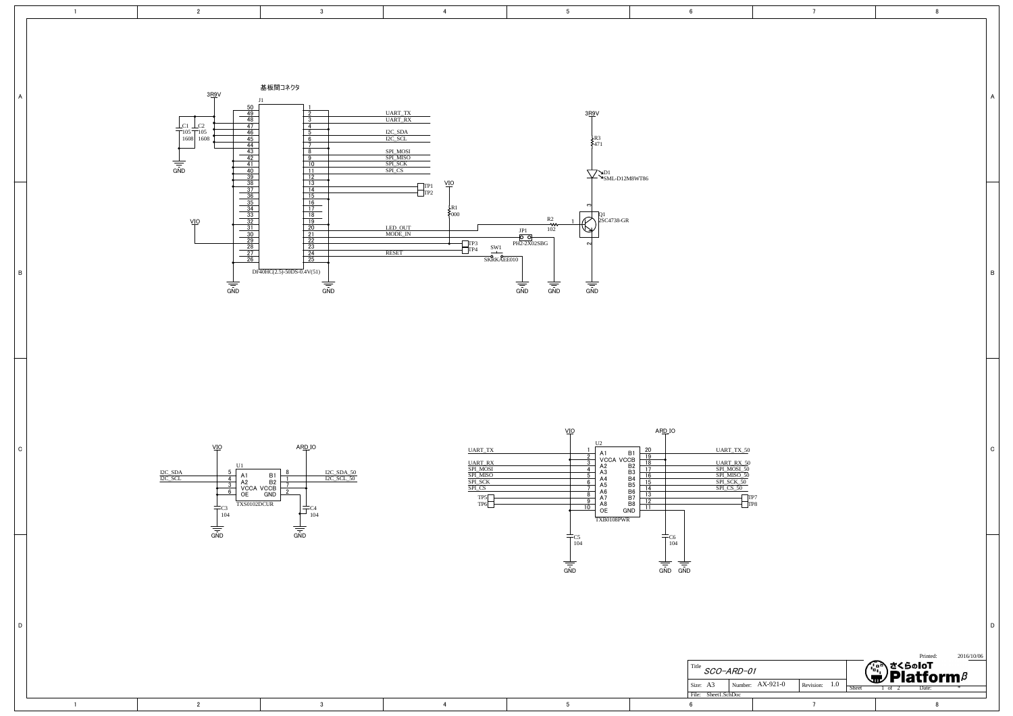

4

5

6

7

8



3

3

4

d de la constantida de la constantida de la constantida de la constantida de la constantida de la constantida<br>Del constantida de la constantida de la constantida de la constantida de la constantida de la constantida de l

1

D

C

B

A

2

1

2



5

|          |               |  |                  |           |     |       |                                     |  |  | Printed: |  | 2016/10/06 |  |
|----------|---------------|--|------------------|-----------|-----|-------|-------------------------------------|--|--|----------|--|------------|--|
| Title    | SCO-ARD-01    |  |                  |           |     |       | <b>てくらのIoT</b><br>'Platform $\beta$ |  |  |          |  |            |  |
| Size: A3 |               |  | Number: AX-921-0 | Revision: | 1.0 | Sheet | of                                  |  |  | Date:    |  |            |  |
| File:    | Sheet1.SchDoc |  |                  |           |     |       |                                     |  |  |          |  |            |  |
| 6        |               |  |                  |           |     |       |                                     |  |  |          |  |            |  |